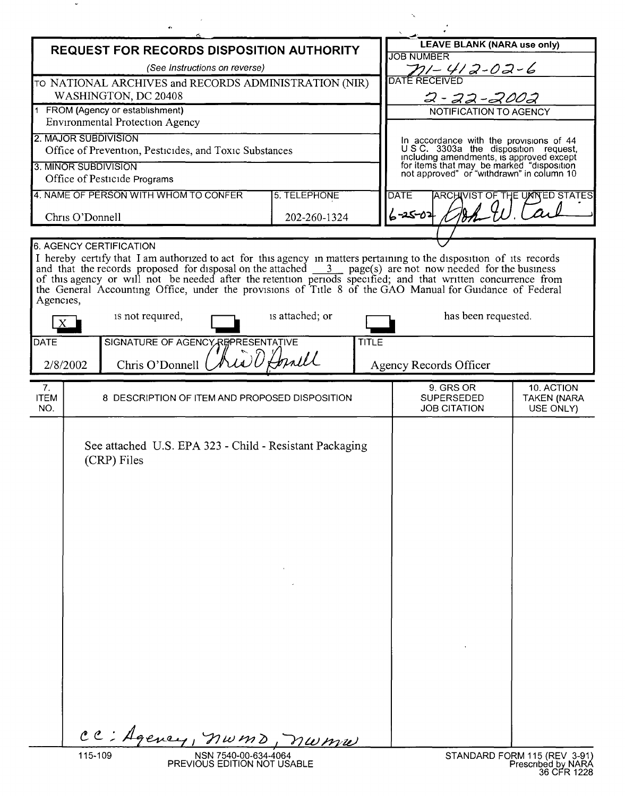| <b>LEAVE BLANK (NARA use only)</b><br><b>REQUEST FOR RECORDS DISPOSITION AUTHORITY</b><br><b>JOB NUMBER</b><br>(See Instructions on reverse)<br>$71 - 412 - 02 - 6$<br>TO NATIONAL ARCHIVES and RECORDS ADMINISTRATION (NIR)<br>WASHINGTON, DC 20408<br>2-22-2002<br>1 FROM (Agency or establishment)<br>NOTIFICATION TO AGENCY<br><b>Environmental Protection Agency</b><br>In accordance with the provisions of 44<br>U.S.C. 3303a the disposition request,<br>Office of Prevention, Pesticides, and Toxic Substances<br>including amendments, is approved except<br>for items that may be marked "disposition<br>not approved" or "withdrawn" in column 10<br>Office of Pesticide Programs<br>4. NAME OF PERSON WITH WHOM TO CONFER<br>5. TELEPHONE<br><b>ARCHIVIST OF THE UMNED STATES</b><br><b>DATE</b><br>$6 - 25 - 02$<br>Chris O'Donnell<br>202-260-1324<br><b>6. AGENCY CERTIFICATION</b><br>I hereby certify that I am authorized to act for this agency in matters pertaining to the disposition of its records<br>and that the records proposed for disposal on the attached $\frac{3}{2}$ page(s) are not now needed for the business<br>of this agency or will not be needed after the retention periods specified; and that written concurrence from<br>the General Accounting Office, under the provisions of Title 8 of the GAO Manual for Guidance of Federal<br>is attached; or<br>is not required,<br>has been requested.<br>SIGNATURE OF AGENCY REPRESENTATIVE<br><b>TITLE</b><br>12 D Horald<br>Chris O'Donnell<br>2/8/2002<br>Agency Records Officer<br>9. GRS OR<br>10. ACTION<br>7.<br>8 DESCRIPTION OF ITEM AND PROPOSED DISPOSITION<br><b>SUPERSEDED</b><br><b>TAKEN (NARA</b><br>NO.<br><b>JOB CITATION</b><br>USE ONLY)<br>See attached U.S. EPA 323 - Child - Resistant Packaging<br>(CRP) Files<br>CC: Agency, nwmd, nwmw<br>STANDARD FORM 115 (REV 3-91) |                                 |  |  | NW |  |
|-------------------------------------------------------------------------------------------------------------------------------------------------------------------------------------------------------------------------------------------------------------------------------------------------------------------------------------------------------------------------------------------------------------------------------------------------------------------------------------------------------------------------------------------------------------------------------------------------------------------------------------------------------------------------------------------------------------------------------------------------------------------------------------------------------------------------------------------------------------------------------------------------------------------------------------------------------------------------------------------------------------------------------------------------------------------------------------------------------------------------------------------------------------------------------------------------------------------------------------------------------------------------------------------------------------------------------------------------------------------------------------------------------------------------------------------------------------------------------------------------------------------------------------------------------------------------------------------------------------------------------------------------------------------------------------------------------------------------------------------------------------------------------------------------------------------------------------------------------------------------------------------|---------------------------------|--|--|----|--|
|                                                                                                                                                                                                                                                                                                                                                                                                                                                                                                                                                                                                                                                                                                                                                                                                                                                                                                                                                                                                                                                                                                                                                                                                                                                                                                                                                                                                                                                                                                                                                                                                                                                                                                                                                                                                                                                                                           |                                 |  |  |    |  |
|                                                                                                                                                                                                                                                                                                                                                                                                                                                                                                                                                                                                                                                                                                                                                                                                                                                                                                                                                                                                                                                                                                                                                                                                                                                                                                                                                                                                                                                                                                                                                                                                                                                                                                                                                                                                                                                                                           |                                 |  |  |    |  |
|                                                                                                                                                                                                                                                                                                                                                                                                                                                                                                                                                                                                                                                                                                                                                                                                                                                                                                                                                                                                                                                                                                                                                                                                                                                                                                                                                                                                                                                                                                                                                                                                                                                                                                                                                                                                                                                                                           |                                 |  |  |    |  |
|                                                                                                                                                                                                                                                                                                                                                                                                                                                                                                                                                                                                                                                                                                                                                                                                                                                                                                                                                                                                                                                                                                                                                                                                                                                                                                                                                                                                                                                                                                                                                                                                                                                                                                                                                                                                                                                                                           |                                 |  |  |    |  |
|                                                                                                                                                                                                                                                                                                                                                                                                                                                                                                                                                                                                                                                                                                                                                                                                                                                                                                                                                                                                                                                                                                                                                                                                                                                                                                                                                                                                                                                                                                                                                                                                                                                                                                                                                                                                                                                                                           |                                 |  |  |    |  |
|                                                                                                                                                                                                                                                                                                                                                                                                                                                                                                                                                                                                                                                                                                                                                                                                                                                                                                                                                                                                                                                                                                                                                                                                                                                                                                                                                                                                                                                                                                                                                                                                                                                                                                                                                                                                                                                                                           | 2. MAJOR SUBDIVISION            |  |  |    |  |
|                                                                                                                                                                                                                                                                                                                                                                                                                                                                                                                                                                                                                                                                                                                                                                                                                                                                                                                                                                                                                                                                                                                                                                                                                                                                                                                                                                                                                                                                                                                                                                                                                                                                                                                                                                                                                                                                                           |                                 |  |  |    |  |
|                                                                                                                                                                                                                                                                                                                                                                                                                                                                                                                                                                                                                                                                                                                                                                                                                                                                                                                                                                                                                                                                                                                                                                                                                                                                                                                                                                                                                                                                                                                                                                                                                                                                                                                                                                                                                                                                                           | 3. MINOR SUBDIVISION            |  |  |    |  |
|                                                                                                                                                                                                                                                                                                                                                                                                                                                                                                                                                                                                                                                                                                                                                                                                                                                                                                                                                                                                                                                                                                                                                                                                                                                                                                                                                                                                                                                                                                                                                                                                                                                                                                                                                                                                                                                                                           |                                 |  |  |    |  |
|                                                                                                                                                                                                                                                                                                                                                                                                                                                                                                                                                                                                                                                                                                                                                                                                                                                                                                                                                                                                                                                                                                                                                                                                                                                                                                                                                                                                                                                                                                                                                                                                                                                                                                                                                                                                                                                                                           |                                 |  |  |    |  |
|                                                                                                                                                                                                                                                                                                                                                                                                                                                                                                                                                                                                                                                                                                                                                                                                                                                                                                                                                                                                                                                                                                                                                                                                                                                                                                                                                                                                                                                                                                                                                                                                                                                                                                                                                                                                                                                                                           |                                 |  |  |    |  |
|                                                                                                                                                                                                                                                                                                                                                                                                                                                                                                                                                                                                                                                                                                                                                                                                                                                                                                                                                                                                                                                                                                                                                                                                                                                                                                                                                                                                                                                                                                                                                                                                                                                                                                                                                                                                                                                                                           | Agencies,<br><b>DATE</b>        |  |  |    |  |
|                                                                                                                                                                                                                                                                                                                                                                                                                                                                                                                                                                                                                                                                                                                                                                                                                                                                                                                                                                                                                                                                                                                                                                                                                                                                                                                                                                                                                                                                                                                                                                                                                                                                                                                                                                                                                                                                                           |                                 |  |  |    |  |
|                                                                                                                                                                                                                                                                                                                                                                                                                                                                                                                                                                                                                                                                                                                                                                                                                                                                                                                                                                                                                                                                                                                                                                                                                                                                                                                                                                                                                                                                                                                                                                                                                                                                                                                                                                                                                                                                                           | <b>ITEM</b>                     |  |  |    |  |
|                                                                                                                                                                                                                                                                                                                                                                                                                                                                                                                                                                                                                                                                                                                                                                                                                                                                                                                                                                                                                                                                                                                                                                                                                                                                                                                                                                                                                                                                                                                                                                                                                                                                                                                                                                                                                                                                                           |                                 |  |  |    |  |
| PREVIOUS EDITION NOT USABLE                                                                                                                                                                                                                                                                                                                                                                                                                                                                                                                                                                                                                                                                                                                                                                                                                                                                                                                                                                                                                                                                                                                                                                                                                                                                                                                                                                                                                                                                                                                                                                                                                                                                                                                                                                                                                                                               | 115-109<br>NSN 7540-00-634-4064 |  |  |    |  |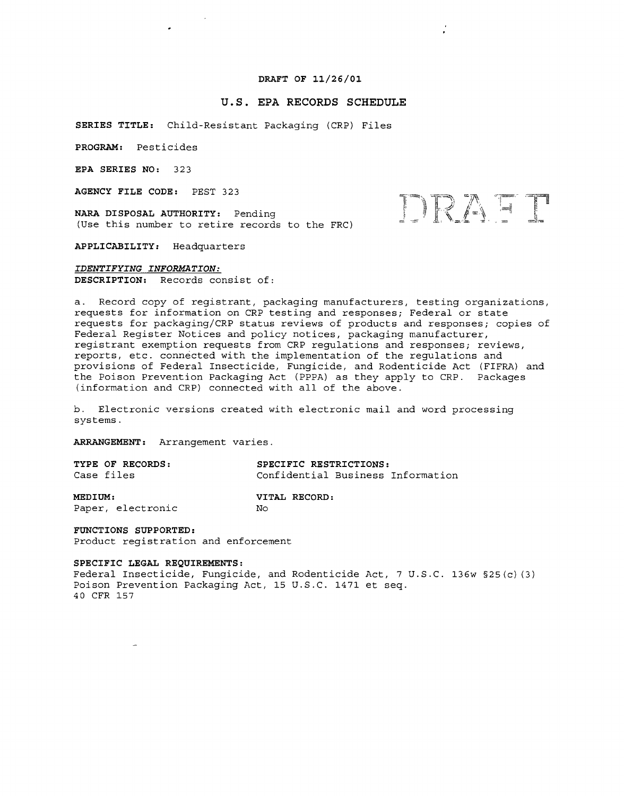# **DRAFT OF 11/26/01**

÷,

DRAFT

## **u.s. EPA RECORDS SCHEDULE**

**SERIES TITLE:** Child-Resistant Packaging (CRP) Files

**PROGRAM:** Pesticides

**EPA SERIES NO:** 323

**AGENCY FILE CODE:** PEST 323

 $\bullet$ 

**NARA DISPOSAL AUTHORITY:** Pending (Use this number to retire records to the FRC)

**APPLICABILITY:** Headquarters

*IDENTIFYING INFORMATION:* **DESCRIPTION:** Records consist of:

a. Record copy of registrant, packaging manufacturers, testing organizations, requests for information on CRP testing and responses; Federal or state requests for packaging/CRP status reviews of products and responses; copies of Federal Register Notices and policy notices, packaging manufacturer, registrant exemption requests from CRP regulations and responses; reviews, reports, etc. connected with the implementation of the regulations and provisions of Federal Insecticide, Fungicide, and Rodenticide Act (FIFRA) and the Poison Prevention Packaging Act (PPPA) as they apply to CRP. Packages (information and CRP) connected with all of the above.

b. Electronic versions created with electronic mail and word processing systems.

**ARRANGEMENT:** Arrangement varies.

| TYPE OF RECORDS: | SPECIFIC RESTRICTIONS:            |  |  |  |
|------------------|-----------------------------------|--|--|--|
| Case files       | Confidential Business Information |  |  |  |
| MEDIUM:          | VITAL RECORD:                     |  |  |  |

Paper, electronic

**VITAL RECORD:**  $N<sub>O</sub>$ 

**FUNCTIONS SUPPORTED:** Product registration and enforcement

#### **SPECIFIC LEGAL REQUIREMENTS:**

Federal Insecticide, Fungicide, and Rodenticide Act, 7 U.S.C. 136w §25(c) (3) Poison Prevention Packaging Act, 15 U.S.C. 1471 et seq. 40 CFR 157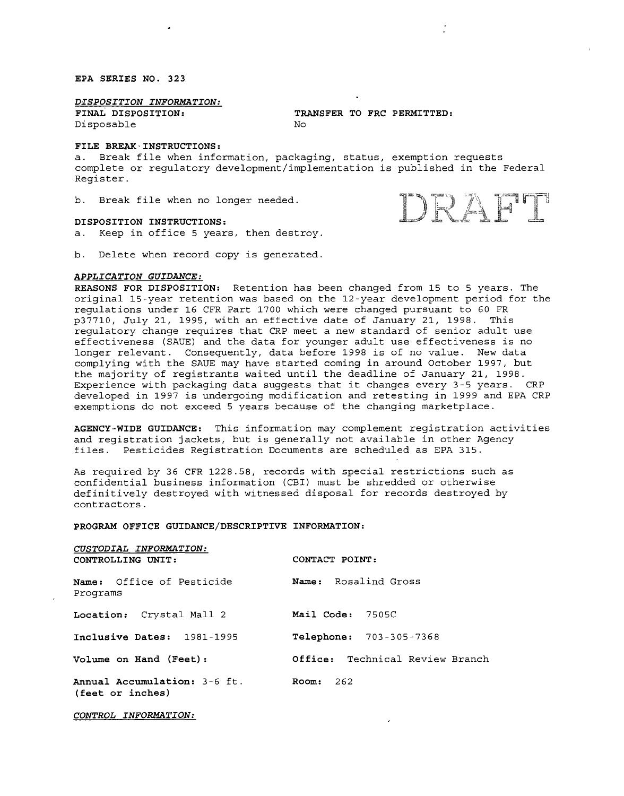**EPA SERIES NO. 323**

*D~SPOSITION INFORMATION:*

**FINAL DISPOSITION:** Disposable

**TRANSFER TO FRC PERMITTED:**  $N<sub>O</sub>$ 

## **FILE BREAK-INSTRUCTIONS:**

a. Break file when information, packaging, status, exemption requests complete or regulatory development/implementation is published in the Federal Register.

b. Break file when no longer needed.

#### **DISPOSITION INSTRUCTIONS:**

a. Keep in office 5 years, then destroy.

b. Delete when record copy is generated.

### *APPLICATION GUIDANCE:*

**REASONS FOR DISPOSITION:** Retention has been changed from 15 to 5 years. The original 15-year retention was based on the 12-year development period for the regulations under 16 CFR Part 1700 which were changed pursuant to 60 FR p37710, July 21, 1995, with an effective date of January 21, 1998. This regulatory change requires that CRP meet a new standard of senior adult use effectiveness (SAUE) and the data for younger adult use effectiveness is no longer relevant. Consequently, data before 1998 is of no value. New data complying with the SAUE may have started coming in around October 1997, but the majority of registrants waited until the deadline of January 21, 1998. Experience with packaging data suggests that it changes every 3-5 years. CRP developed in 1997 is undergoing modification and retesting in 1999 and EPA CRP exemptions do not exceed 5 years because of the changing marketplace.

**AGENCY-WIDE GUIDANCE:** This information may complement registration activities and registration jackets, but is generally not available in other Agency files. Pesticides Registration Documents are scheduled as EPA 315.

As required by 36 CFR 1228.58, records with special restrictions such as confidential business information (CBI) must be shredded or otherwise definitively destroyed with witnessed disposal for records destroyed by contractors.

### **PROGRAM OFFICE GUIDANCE/DESCRIPTIVE INFORMATION:**

| CUSTODIAL INFORMATION:<br>CONTROLLING UNIT:      | CONTACT POINT:                  |
|--------------------------------------------------|---------------------------------|
| <b>Name:</b> Office of Pesticide<br>Programs     | Name: Rosalind Gross            |
| Location: Crystal Mall 2                         | Mail Code: 7505C                |
| Inclusive Dates: 1981-1995                       | Telephone: 703-305-7368         |
| <b>Volume on Hand (Feet):</b>                    | Office: Technical Review Branch |
| Annual Accumulation: 3-6 ft.<br>(feet or inches) | 262<br>Room:                    |

*CONTROL INFORMATION:*